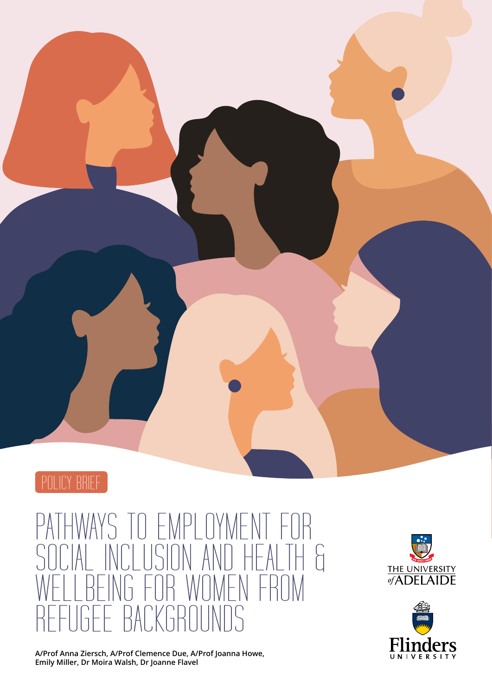

### PATHWAYS TO EMPLOYMENT FOR<br>SOCIAL INCLUSION AND HEALTH & SOLUSION AND H<br>So For Women WEALTH<br>FROM REFUGEE BACKGROUNDS

**A/Prof Anna Ziersch, A/Prof Clemence Due, A/Prof Joanna Howe, Emily Miller, Dr Moira Walsh, Dr Joanne Flavel**



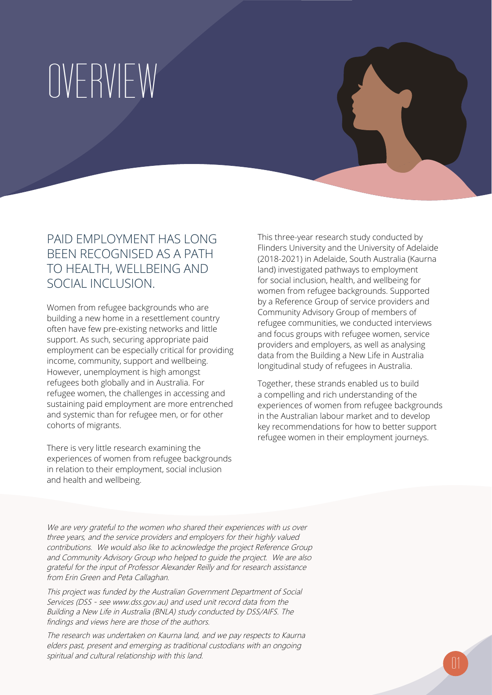### OVERVIEW

### PAID FMPLOYMENT HAS LONG BEEN RECOGNISED AS A PATH TO HEALTH, WELLBEING AND SOCIAL INCLUSION.

Women from refugee backgrounds who are building a new home in a resettlement country often have few pre-existing networks and little support. As such, securing appropriate paid employment can be especially critical for providing income, community, support and wellbeing. However, unemployment is high amongst refugees both globally and in Australia. For refugee women, the challenges in accessing and sustaining paid employment are more entrenched and systemic than for refugee men, or for other cohorts of migrants.

There is very little research examining the experiences of women from refugee backgrounds in relation to their employment, social inclusion and health and wellbeing.

This three-year research study conducted by Flinders University and the University of Adelaide (2018-2021) in Adelaide, South Australia (Kaurna land) investigated pathways to employment for social inclusion, health, and wellbeing for women from refugee backgrounds. Supported by a Reference Group of service providers and Community Advisory Group of members of refugee communities, we conducted interviews and focus groups with refugee women, service providers and employers, as well as analysing data from the Building a New Life in Australia longitudinal study of refugees in Australia.

Together, these strands enabled us to build a compelling and rich understanding of the experiences of women from refugee backgrounds in the Australian labour market and to develop key recommendations for how to better support refugee women in their employment journeys.

We are very grateful to the women who shared their experiences with us over three years, and the service providers and employers for their highly valued contributions. We would also like to acknowledge the project Reference Group and Community Advisory Group who helped to guide the project. We are also grateful for the input of Professor Alexander Reilly and for research assistance from Erin Green and Peta Callaghan.

This project was funded by the Australian Government Department of Social Services (DSS - see www.dss.gov.au) and used unit record data from the Building a New Life in Australia (BNLA) study conducted by DSS/AIFS. The findings and views here are those of the authors.

The research was undertaken on Kaurna land, and we pay respects to Kaurna elders past, present and emerging as traditional custodians with an ongoing spiritual and cultural relationship with this land.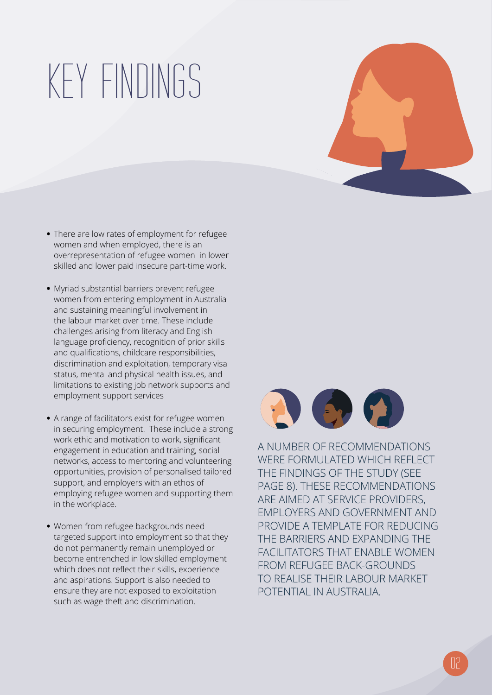## KEY FINDINGS



- **•** There are low rates of employment for refugee women and when employed, there is an overrepresentation of refugee women in lower skilled and lower paid insecure part-time work.
- **•** Myriad substantial barriers prevent refugee women from entering employment in Australia and sustaining meaningful involvement in the labour market over time. These include challenges arising from literacy and English language proficiency, recognition of prior skills and qualifications, childcare responsibilities, discrimination and exploitation, temporary visa status, mental and physical health issues, and limitations to existing job network supports and employment support services
- **•** A range of facilitators exist for refugee women in securing employment. These include a strong work ethic and motivation to work, significant engagement in education and training, social networks, access to mentoring and volunteering opportunities, provision of personalised tailored support, and employers with an ethos of employing refugee women and supporting them in the workplace.
- **•** Women from refugee backgrounds need targeted support into employment so that they do not permanently remain unemployed or become entrenched in low skilled employment which does not reflect their skills, experience and aspirations. Support is also needed to ensure they are not exposed to exploitation such as wage theft and discrimination.



A NUMBER OF RECOMMENDATIONS WERE FORMULATED WHICH REFLECT THE FINDINGS OF THE STUDY (SEE PAGE 8). THESE RECOMMENDATIONS ARE AIMED AT SERVICE PROVIDERS, EMPLOYERS AND GOVERNMENT AND PROVIDE A TEMPLATE FOR REDUCING THE BARRIERS AND EXPANDING THE FACILITATORS THAT ENABLE WOMEN FROM REFUGEE BACK-GROUNDS TO REALISE THEIR LABOUR MARKET POTENTIAL IN AUSTRALIA.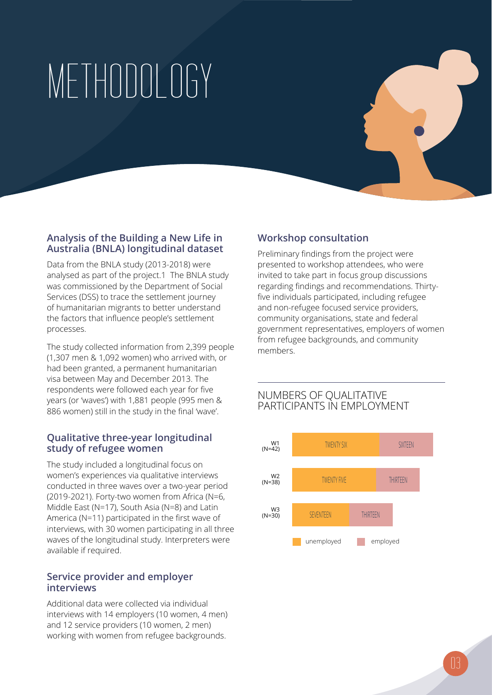# METHODOLOGY

### **Analysis of the Building a New Life in Australia (BNLA) longitudinal dataset**

Data from the BNLA study (2013-2018) were analysed as part of the project.1 The BNLA study was commissioned by the Department of Social Services (DSS) to trace the settlement journey of humanitarian migrants to better understand the factors that influence people's settlement processes.

The study collected information from 2,399 people (1,307 men & 1,092 women) who arrived with, or had been granted, a permanent humanitarian visa between May and December 2013. The respondents were followed each year for five years (or 'waves') with 1,881 people (995 men & 886 women) still in the study in the final 'wave'.

### **Qualitative three-year longitudinal study of refugee women**

The study included a longitudinal focus on women's experiences via qualitative interviews conducted in three waves over a two-year period (2019-2021). Forty-two women from Africa (N=6, Middle East (N=17), South Asia (N=8) and Latin America (N=11) participated in the first wave of interviews, with 30 women participating in all three waves of the longitudinal study. Interpreters were available if required.

### **Service provider and employer interviews**

Additional data were collected via individual interviews with 14 employers (10 women, 4 men) and 12 service providers (10 women, 2 men) working with women from refugee backgrounds.

### **Workshop consultation**

Preliminary findings from the project were presented to workshop attendees, who were invited to take part in focus group discussions regarding findings and recommendations. Thirtyfive individuals participated, including refugee and non-refugee focused service providers, community organisations, state and federal government representatives, employers of women from refugee backgrounds, and community members.

### NUMBERS OF QUALITATIVE PARTICIPANTS IN EMPLOYMENT

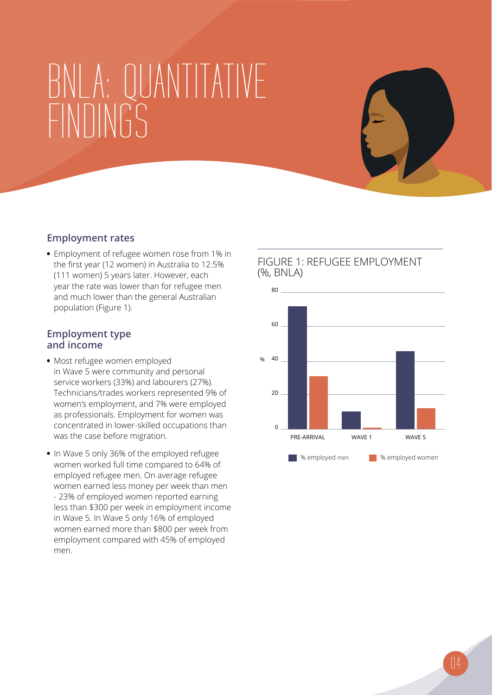### BNLA: QUANTITATIVE FINDINGS

### **Employment rates**

**•** Employment of refugee women rose from 1% in the first year (12 women) in Australia to 12.5% (111 women) 5 years later. However, each year the rate was lower than for refugee men and much lower than the general Australian population (Figure 1).

#### **Employment type and income**

- **•** Most refugee women employed in Wave 5 were community and personal service workers (33%) and labourers (27%). Technicians/trades workers represented 9% of women's employment, and 7% were employed as professionals. Employment for women was concentrated in lower-skilled occupations than was the case before migration.
- **•** In Wave 5 only 36% of the employed refugee women worked full time compared to 64% of employed refugee men. On average refugee women earned less money per week than men - 23% of employed women reported earning less than \$300 per week in employment income in Wave 5. In Wave 5 only 16% of employed women earned more than \$800 per week from employment compared with 45% of employed men.

### FIGURE 1: REFUGEE EMPLOYMENT (%, BNLA)

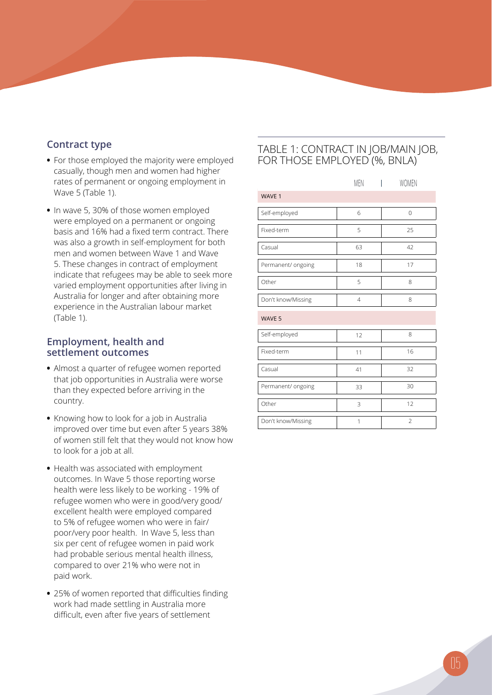### **Contract type**

- **•** For those employed the majority were employed casually, though men and women had higher rates of permanent or ongoing employment in Wave 5 (Table 1).
- **•** In wave 5, 30% of those women employed were employed on a permanent or ongoing basis and 16% had a fixed term contract. There was also a growth in self-employment for both men and women between Wave 1 and Wave 5. These changes in contract of employment indicate that refugees may be able to seek more varied employment opportunities after living in Australia for longer and after obtaining more experience in the Australian labour market (Table 1).

### **Employment, health and settlement outcomes**

- **•** Almost a quarter of refugee women reported that job opportunities in Australia were worse than they expected before arriving in the country.
- **•** Knowing how to look for a job in Australia improved over time but even after 5 years 38% of women still felt that they would not know how to look for a job at all.
- **•** Health was associated with employment outcomes. In Wave 5 those reporting worse health were less likely to be working - 19% of refugee women who were in good/very good/ excellent health were employed compared to 5% of refugee women who were in fair/ poor/very poor health. In Wave 5, less than six per cent of refugee women in paid work had probable serious mental health illness, compared to over 21% who were not in paid work.
- **•** 25% of women reported that difficulties finding work had made settling in Australia more difficult, even after five years of settlement

### TABLE 1: CONTRACT IN JOB/MAIN JOB, FOR THOSE EMPLOYED (%, BNLA)

|                    | <b>MEN</b>     | <b>WOMEN</b>   |
|--------------------|----------------|----------------|
| WAVE 1             |                |                |
| Self-employed      | 6              | $\overline{0}$ |
| Fixed-term         | 5              | 25             |
| Casual             | 63             | 42             |
| Permanent/ ongoing | 18             | 17             |
| Other              | 5              | 8              |
| Don't know/Missing | $\overline{4}$ | 8              |
| WAVE 5             |                |                |
| Self-employed      | 12             | 8              |
| Fixed-term         | 11             | 16             |
| Casual             | 41             | 32             |
| Permanent/ ongoing | 33             | 30             |
| Other              | 3              | 12             |
| Don't know/Missing | 1              | $\overline{2}$ |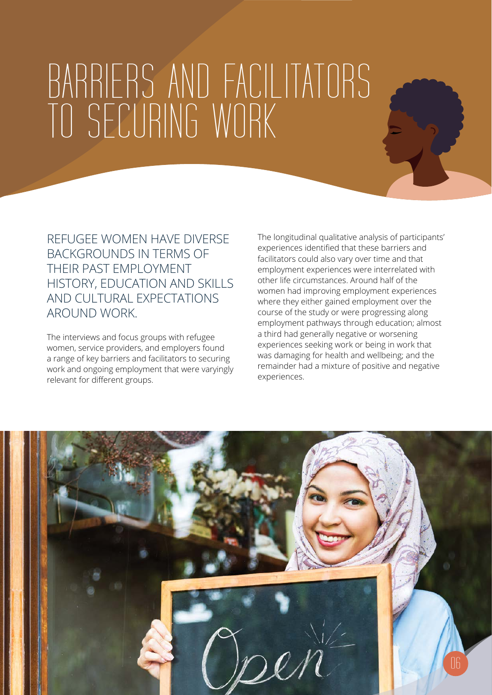### BARRIERS AND FACILITATORS TO SECURING WORK

REFUGEE WOMEN HAVE DIVERSE BACKGROUNDS IN TERMS OF THEIR PAST EMPLOYMENT HISTORY, EDUCATION AND SKILLS AND CULTURAL EXPECTATIONS AROUND WORK.

The interviews and focus groups with refugee women, service providers, and employers found a range of key barriers and facilitators to securing work and ongoing employment that were varyingly relevant for different groups.

The longitudinal qualitative analysis of participants' experiences identified that these barriers and facilitators could also vary over time and that employment experiences were interrelated with other life circumstances. Around half of the women had improving employment experiences where they either gained employment over the course of the study or were progressing along employment pathways through education; almost a third had generally negative or worsening experiences seeking work or being in work that was damaging for health and wellbeing; and the remainder had a mixture of positive and negative experiences.

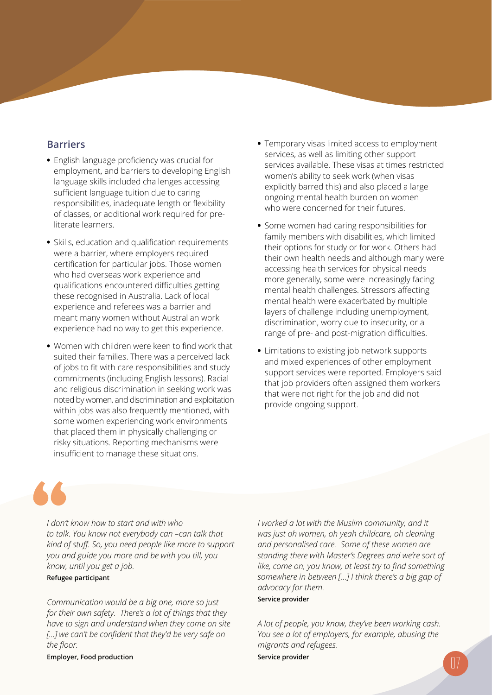### **Barriers**

- **•** English language proficiency was crucial for employment, and barriers to developing English language skills included challenges accessing sufficient language tuition due to caring responsibilities, inadequate length or flexibility of classes, or additional work required for preliterate learners.
- **•** Skills, education and qualification requirements were a barrier, where employers required certification for particular jobs. Those women who had overseas work experience and qualifications encountered difficulties getting these recognised in Australia. Lack of local experience and referees was a barrier and meant many women without Australian work experience had no way to get this experience.
- **•** Women with children were keen to find work that suited their families. There was a perceived lack of jobs to fit with care responsibilities and study commitments (including English lessons). Racial and religious discrimination in seeking work was noted by women, and discrimination and exploitation within jobs was also frequently mentioned, with some women experiencing work environments that placed them in physically challenging or risky situations. Reporting mechanisms were insufficient to manage these situations.
- **•** Temporary visas limited access to employment services, as well as limiting other support services available. These visas at times restricted women's ability to seek work (when visas explicitly barred this) and also placed a large ongoing mental health burden on women who were concerned for their futures.
- **•** Some women had caring responsibilities for family members with disabilities, which limited their options for study or for work. Others had their own health needs and although many were accessing health services for physical needs more generally, some were increasingly facing mental health challenges. Stressors affecting mental health were exacerbated by multiple layers of challenge including unemployment, discrimination, worry due to insecurity, or a range of pre- and post-migration difficulties.
- **•** Limitations to existing job network supports and mixed experiences of other employment support services were reported. Employers said that job providers often assigned them workers that were not right for the job and did not provide ongoing support.

*I don't know how to start and with who to talk. You know not everybody can –can talk that kind of stuff. So, you need people like more to support you and guide you more and be with you till, you know, until you get a job.*

#### **Refugee participant**

*Communication would be a big one, more so just for their own safety. There's a lot of things that they have to sign and understand when they come on site [...] we can't be confident that they'd be very safe on the floor.*

**Employer, Food production**

*I worked a lot with the Muslim community, and it was just oh women, oh yeah childcare, oh cleaning and personalised care. Some of these women are standing there with Master's Degrees and we're sort of like, come on, you know, at least try to find something somewhere in between […] I think there's a big gap of advocacy for them.*

#### **Service provider**

*A lot of people, you know, they've been working cash. You see a lot of employers, for example, abusing the migrants and refugees.* 

**Service provider and the service provider of**  $\Box$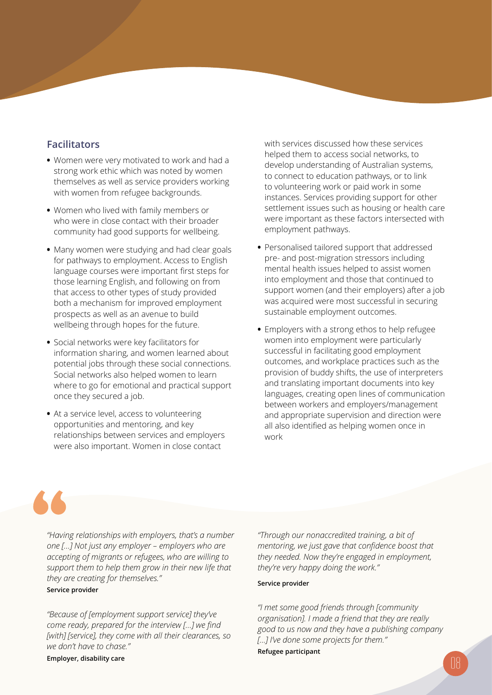### **Facilitators**

- **•** Women were very motivated to work and had a strong work ethic which was noted by women themselves as well as service providers working with women from refugee backgrounds.
- **•** Women who lived with family members or who were in close contact with their broader community had good supports for wellbeing.
- **•** Many women were studying and had clear goals for pathways to employment. Access to English language courses were important first steps for those learning English, and following on from that access to other types of study provided both a mechanism for improved employment prospects as well as an avenue to build wellbeing through hopes for the future.
- **•** Social networks were key facilitators for information sharing, and women learned about potential jobs through these social connections. Social networks also helped women to learn where to go for emotional and practical support once they secured a job.
- **•** At a service level, access to volunteering opportunities and mentoring, and key relationships between services and employers were also important. Women in close contact

with services discussed how these services helped them to access social networks, to develop understanding of Australian systems, to connect to education pathways, or to link to volunteering work or paid work in some instances. Services providing support for other settlement issues such as housing or health care were important as these factors intersected with employment pathways.

- **•** Personalised tailored support that addressed pre- and post-migration stressors including mental health issues helped to assist women into employment and those that continued to support women (and their employers) after a job was acquired were most successful in securing sustainable employment outcomes.
- **•** Employers with a strong ethos to help refugee women into employment were particularly successful in facilitating good employment outcomes, and workplace practices such as the provision of buddy shifts, the use of interpreters and translating important documents into key languages, creating open lines of communication between workers and employers/management and appropriate supervision and direction were all also identified as helping women once in work

*"Having relationships with employers, that's a number one […] Not just any employer – employers who are accepting of migrants or refugees, who are willing to support them to help them grow in their new life that they are creating for themselves."*

#### **Service provider**

*"Because of [employment support service] they've come ready, prepared for the interview […] we find [with] [service], they come with all their clearances, so we don't have to chase."*

**Employer, disability care**

*"Through our nonaccredited training, a bit of mentoring, we just gave that confidence boost that they needed. Now they're engaged in employment, they're very happy doing the work."*

#### **Service provider**

*"I met some good friends through [community organisation]. I made a friend that they are really good to us now and they have a publishing company [...] I've done some projects for them."*

**Refugee participant**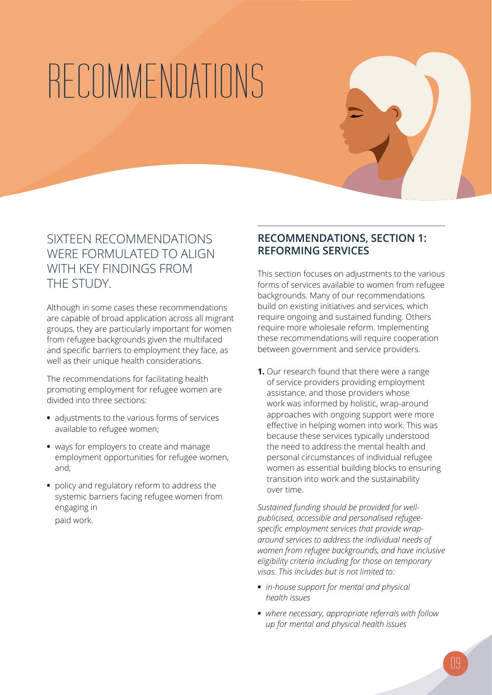# RECOMMENDATIONS

### SIXTEEN RECOMMENDATIONS WERE FORMULATED TO ALIGN WITH KEY FINDINGS FROM THE STUDY.

Although in some cases these recommendations are capable of broad application across all migrant groups, they are particularly important for women from refugee backgrounds given the multifaced and specific barriers to employment they face, as well as their unique health considerations.

The recommendations for facilitating health promoting employment for refugee women are divided into three sections:

- **•** adjustments to the various forms of services available to refugee women;
- **•** ways for employers to create and manage employment opportunities for refugee women, and;
- **•** policy and regulatory reform to address the systemic barriers facing refugee women from engaging in paid work.

### **RECOMMENDATIONS, SECTION 1: REFORMING SERVICES**

This section focuses on adjustments to the various forms of services available to women from refugee backgrounds. Many of our recommendations build on existing initiatives and services, which require ongoing and sustained funding. Others require more wholesale reform. Implementing these recommendations will require cooperation between government and service providers.

**1.** Our research found that there were a range of service providers providing employment assistance, and those providers whose work was informed by holistic, wrap-around approaches with ongoing support were more effective in helping women into work. This was because these services typically understood the need to address the mental health and personal circumstances of individual refugee women as essential building blocks to ensuring transition into work and the sustainability over time.

*Sustained funding should be provided for wellpublicised, accessible and personalised refugeespecific employment services that provide wraparound services to address the individual needs of women from refugee backgrounds, and have inclusive eligibility criteria including for those on temporary visas. This includes but is not limited to:* 

- *• in-house support for mental and physical health issues*
- *• where necessary, appropriate referrals with follow up for mental and physical health issues*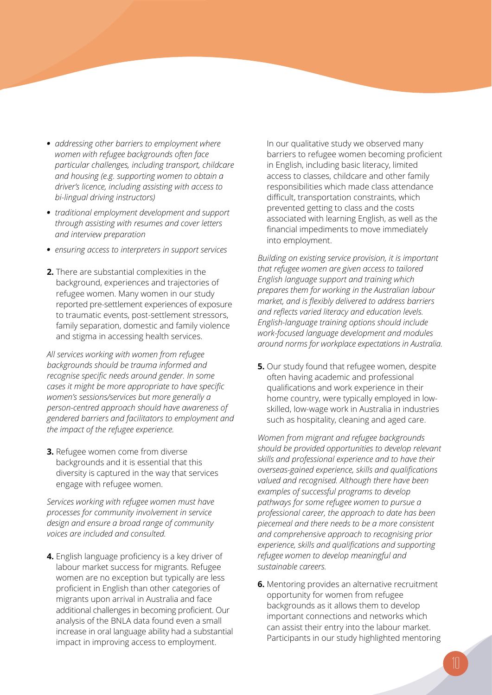- *• addressing other barriers to employment where women with refugee backgrounds often face particular challenges, including transport, childcare and housing (e.g. supporting women to obtain a driver's licence, including assisting with access to bi-lingual driving instructors)*
- *• traditional employment development and support through assisting with resumes and cover letters and interview preparation*
- *• ensuring access to interpreters in support services*
- **2.** There are substantial complexities in the background, experiences and trajectories of refugee women. Many women in our study reported pre-settlement experiences of exposure to traumatic events, post-settlement stressors, family separation, domestic and family violence and stigma in accessing health services.

*All services working with women from refugee backgrounds should be trauma informed and recognise specific needs around gender. In some cases it might be more appropriate to have specific women's sessions/services but more generally a person-centred approach should have awareness of gendered barriers and facilitators to employment and the impact of the refugee experience.*

**3.** Refugee women come from diverse backgrounds and it is essential that this diversity is captured in the way that services engage with refugee women.

*Services working with refugee women must have processes for community involvement in service design and ensure a broad range of community voices are included and consulted.*

**4.** English language proficiency is a key driver of labour market success for migrants. Refugee women are no exception but typically are less proficient in English than other categories of migrants upon arrival in Australia and face additional challenges in becoming proficient. Our analysis of the BNLA data found even a small increase in oral language ability had a substantial impact in improving access to employment.

In our qualitative study we observed many barriers to refugee women becoming proficient in English, including basic literacy, limited access to classes, childcare and other family responsibilities which made class attendance difficult, transportation constraints, which prevented getting to class and the costs associated with learning English, as well as the financial impediments to move immediately into employment.

*Building on existing service provision, it is important that refugee women are given access to tailored English language support and training which prepares them for working in the Australian labour market, and is flexibly delivered to address barriers and reflects varied literacy and education levels. English-language training options should include work-focused language development and modules around norms for workplace expectations in Australia.* 

**5.** Our study found that refugee women, despite often having academic and professional qualifications and work experience in their home country, were typically employed in lowskilled, low-wage work in Australia in industries such as hospitality, cleaning and aged care.

*Women from migrant and refugee backgrounds should be provided opportunities to develop relevant skills and professional experience and to have their overseas-gained experience, skills and qualifications valued and recognised. Although there have been examples of successful programs to develop pathways for some refugee women to pursue a professional career, the approach to date has been piecemeal and there needs to be a more consistent and comprehensive approach to recognising prior experience, skills and qualifications and supporting refugee women to develop meaningful and sustainable careers.*

**6.** Mentoring provides an alternative recruitment opportunity for women from refugee backgrounds as it allows them to develop important connections and networks which can assist their entry into the labour market. Participants in our study highlighted mentoring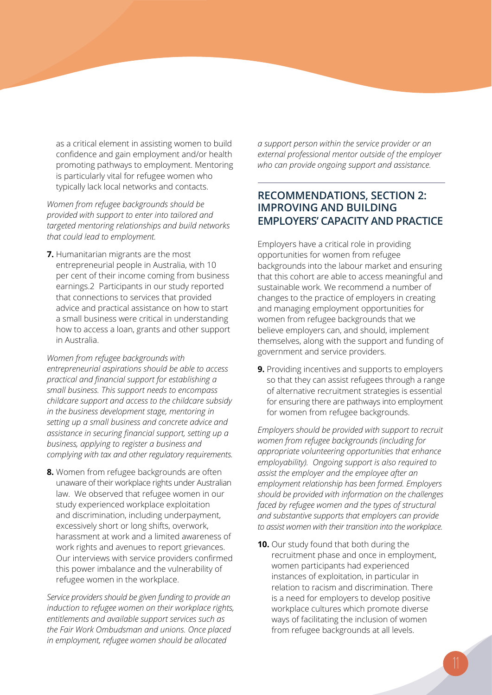as a critical element in assisting women to build confidence and gain employment and/or health promoting pathways to employment. Mentoring is particularly vital for refugee women who typically lack local networks and contacts.

*Women from refugee backgrounds should be provided with support to enter into tailored and targeted mentoring relationships and build networks that could lead to employment.*

**7.** Humanitarian migrants are the most entrepreneurial people in Australia, with 10 per cent of their income coming from business earnings.2 Participants in our study reported that connections to services that provided advice and practical assistance on how to start a small business were critical in understanding how to access a loan, grants and other support in Australia.

*Women from refugee backgrounds with entrepreneurial aspirations should be able to access practical and financial support for establishing a small business. This support needs to encompass childcare support and access to the childcare subsidy in the business development stage, mentoring in setting up a small business and concrete advice and assistance in securing financial support, setting up a business, applying to register a business and complying with tax and other regulatory requirements.* 

**8.** Women from refugee backgrounds are often unaware of their workplace rights under Australian law. We observed that refugee women in our study experienced workplace exploitation and discrimination, including underpayment, excessively short or long shifts, overwork, harassment at work and a limited awareness of work rights and avenues to report grievances. Our interviews with service providers confirmed this power imbalance and the vulnerability of refugee women in the workplace.

*Service providers should be given funding to provide an induction to refugee women on their workplace rights, entitlements and available support services such as the Fair Work Ombudsman and unions. Once placed in employment, refugee women should be allocated* 

*a support person within the service provider or an external professional mentor outside of the employer who can provide ongoing support and assistance.*

### **RECOMMENDATIONS, SECTION 2: IMPROVING AND BUILDING EMPLOYERS' CAPACITY AND PRACTICE**

Employers have a critical role in providing opportunities for women from refugee backgrounds into the labour market and ensuring that this cohort are able to access meaningful and sustainable work. We recommend a number of changes to the practice of employers in creating and managing employment opportunities for women from refugee backgrounds that we believe employers can, and should, implement themselves, along with the support and funding of government and service providers.

**9.** Providing incentives and supports to employers so that they can assist refugees through a range of alternative recruitment strategies is essential for ensuring there are pathways into employment for women from refugee backgrounds.

*Employers should be provided with support to recruit women from refugee backgrounds (including for appropriate volunteering opportunities that enhance employability). Ongoing support is also required to assist the employer and the employee after an employment relationship has been formed. Employers should be provided with information on the challenges faced by refugee women and the types of structural and substantive supports that employers can provide to assist women with their transition into the workplace.*

**10.** Our study found that both during the recruitment phase and once in employment, women participants had experienced instances of exploitation, in particular in relation to racism and discrimination. There is a need for employers to develop positive workplace cultures which promote diverse ways of facilitating the inclusion of women from refugee backgrounds at all levels.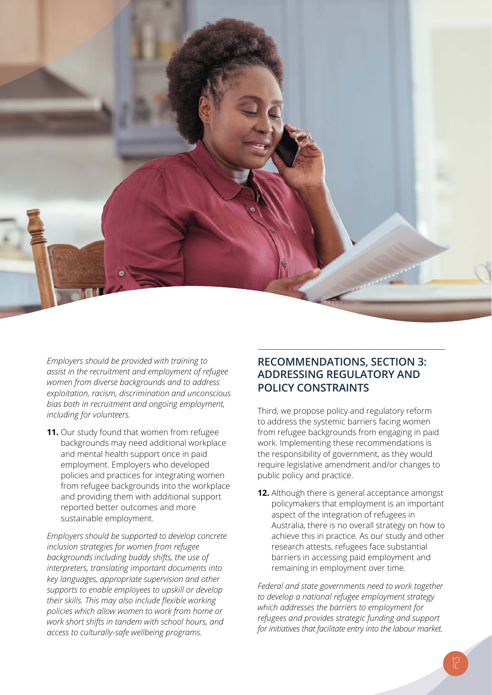

*Employers should be provided with training to assist in the recruitment and employment of refugee women from diverse backgrounds and to address exploitation, racism, discrimination and unconscious bias both in recruitment and ongoing employment, including for volunteers.*

**11.** Our study found that women from refugee backgrounds may need additional workplace and mental health support once in paid employment. Employers who developed policies and practices for integrating women from refugee backgrounds into the workplace and providing them with additional support reported better outcomes and more sustainable employment.

*Employers should be supported to develop concrete inclusion strategies for women from refugee backgrounds including buddy shifts, the use of interpreters, translating important documents into key languages, appropriate supervision and other supports to enable employees to upskill or develop their skills. This may also include flexible working policies which allow women to work from home or work short shifts in tandem with school hours, and access to culturally-safe wellbeing programs.*

### **RECOMMENDATIONS, SECTION 3: ADDRESSING REGULATORY AND POLICY CONSTRAINTS**

Third, we propose policy and regulatory reform to address the systemic barriers facing women from refugee backgrounds from engaging in paid work. Implementing these recommendations is the responsibility of government, as they would require legislative amendment and/or changes to public policy and practice.

**12.** Although there is general acceptance amongst policymakers that employment is an important aspect of the integration of refugees in Australia, there is no overall strategy on how to achieve this in practice. As our study and other research attests, refugees face substantial barriers in accessing paid employment and remaining in employment over time.

*Federal and state governments need to work together to develop a national refugee employment strategy which addresses the barriers to employment for refugees and provides strategic funding and support for initiatives that facilitate entry into the labour market.*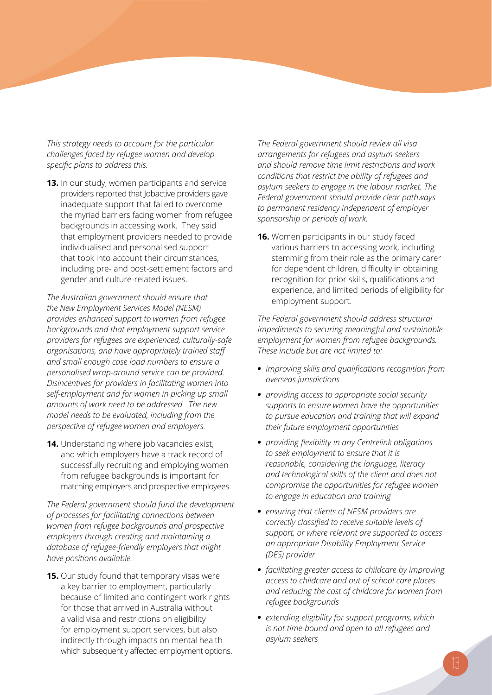*This strategy needs to account for the particular challenges faced by refugee women and develop specific plans to address this.*

**13.** In our study, women participants and service providers reported that Jobactive providers gave inadequate support that failed to overcome the myriad barriers facing women from refugee backgrounds in accessing work. They said that employment providers needed to provide individualised and personalised support that took into account their circumstances, including pre- and post-settlement factors and gender and culture-related issues.

*The Australian government should ensure that the New Employment Services Model (NESM) provides enhanced support to women from refugee backgrounds and that employment support service providers for refugees are experienced, culturally-safe organisations, and have appropriately trained staff and small enough case load numbers to ensure a personalised wrap-around service can be provided. Disincentives for providers in facilitating women into self-employment and for women in picking up small amounts of work need to be addressed. The new model needs to be evaluated, including from the perspective of refugee women and employers.*

**14.** Understanding where job vacancies exist, and which employers have a track record of successfully recruiting and employing women from refugee backgrounds is important for matching employers and prospective employees.

*The Federal government should fund the development of processes for facilitating connections between women from refugee backgrounds and prospective employers through creating and maintaining a database of refugee-friendly employers that might have positions available.* 

**15.** Our study found that temporary visas were a key barrier to employment, particularly because of limited and contingent work rights for those that arrived in Australia without a valid visa and restrictions on eligibility for employment support services, but also indirectly through impacts on mental health which subsequently affected employment options.

*The Federal government should review all visa arrangements for refugees and asylum seekers and should remove time limit restrictions and work conditions that restrict the ability of refugees and asylum seekers to engage in the labour market. The Federal government should provide clear pathways to permanent residency independent of employer sponsorship or periods of work.* 

**16.** Women participants in our study faced various barriers to accessing work, including stemming from their role as the primary carer for dependent children, difficulty in obtaining recognition for prior skills, qualifications and experience, and limited periods of eligibility for employment support.

*The Federal government should address structural impediments to securing meaningful and sustainable employment for women from refugee backgrounds. These include but are not limited to:*

- *• improving skills and qualifications recognition from overseas jurisdictions*
- *• providing access to appropriate social security supports to ensure women have the opportunities to pursue education and training that will expand their future employment opportunities*
- *• providing flexibility in any Centrelink obligations to seek employment to ensure that it is reasonable, considering the language, literacy and technological skills of the client and does not compromise the opportunities for refugee women to engage in education and training*
- *• ensuring that clients of NESM providers are correctly classified to receive suitable levels of support, or where relevant are supported to access an appropriate Disability Employment Service (DES) provider*
- *• facilitating greater access to childcare by improving access to childcare and out of school care places and reducing the cost of childcare for women from refugee backgrounds*
- *• extending eligibility for support programs, which is not time-bound and open to all refugees and asylum seekers*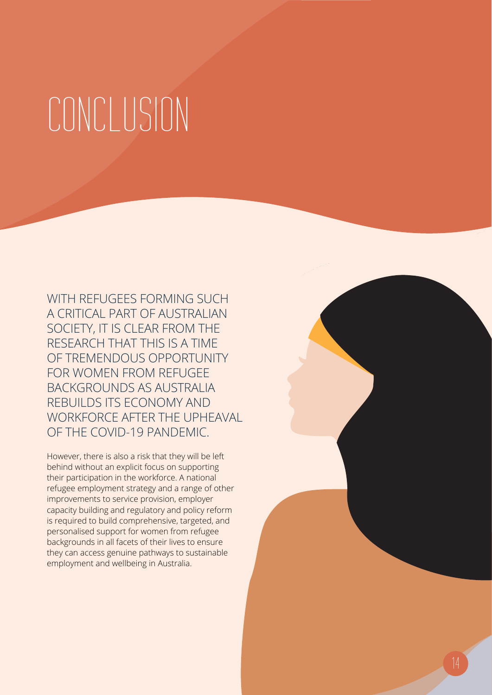### CONCLUSION

WITH REFUGEES FORMING SUCH A CRITICAL PART OF AUSTRALIAN SOCIETY, IT IS CLEAR FROM THE RESEARCH THAT THIS IS A TIME OF TREMENDOUS OPPORTUNITY FOR WOMEN FROM REFUGEE BACKGROUNDS AS AUSTRALIA REBUILDS ITS ECONOMY AND WORKFORCE AFTER THE UPHEAVAL OF THE COVID-19 PANDEMIC.

However, there is also a risk that they will be left behind without an explicit focus on supporting their participation in the workforce. A national refugee employment strategy and a range of other improvements to service provision, employer capacity building and regulatory and policy reform is required to build comprehensive, targeted, and personalised support for women from refugee backgrounds in all facets of their lives to ensure they can access genuine pathways to sustainable employment and wellbeing in Australia.